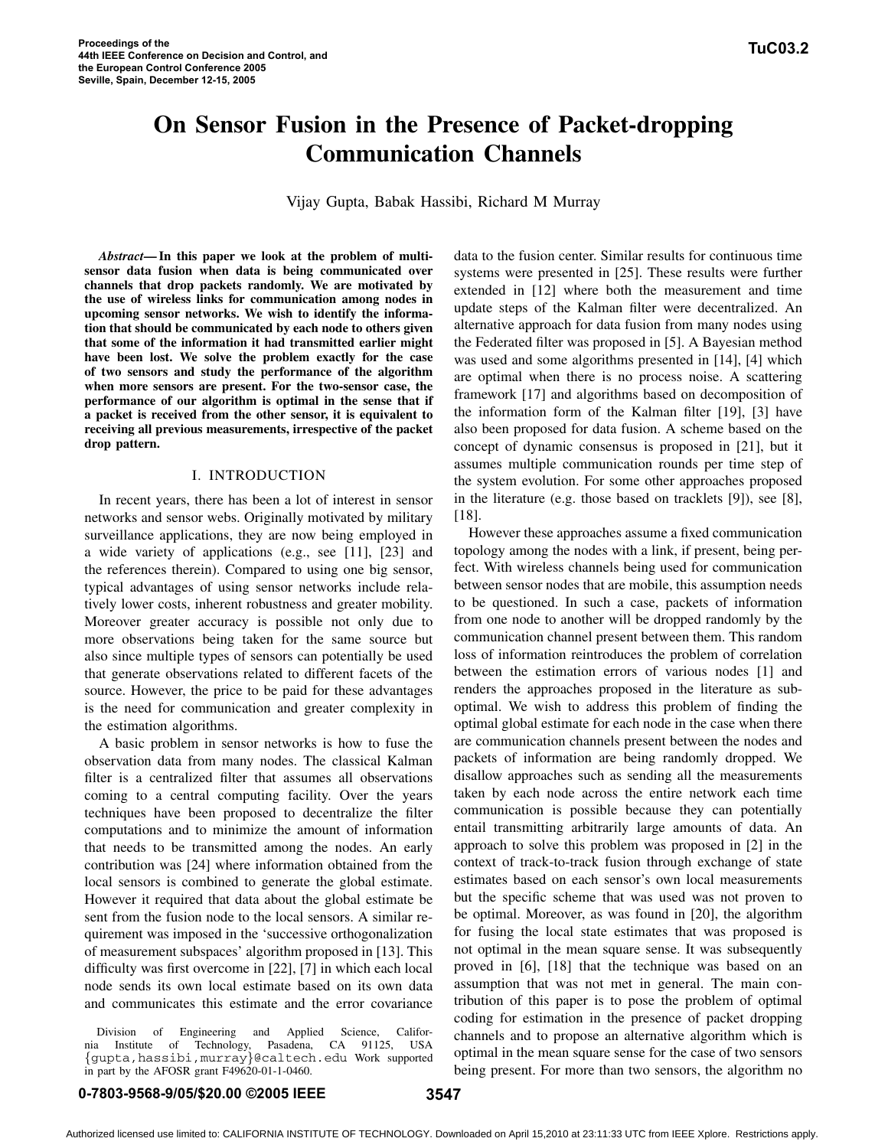# **On Sensor Fusion in the Presence of Packet-dropping Communication Channels**

Vijay Gupta, Babak Hassibi, Richard M Murray

*Abstract***— In this paper we look at the problem of multisensor data fusion when data is being communicated over channels that drop packets randomly. We are motivated by the use of wireless links for communication among nodes in upcoming sensor networks. We wish to identify the information that should be communicated by each node to others given that some of the information it had transmitted earlier might have been lost. We solve the problem exactly for the case of two sensors and study the performance of the algorithm when more sensors are present. For the two-sensor case, the performance of our algorithm is optimal in the sense that if a packet is received from the other sensor, it is equivalent to receiving all previous measurements, irrespective of the packet drop pattern.**

### I. INTRODUCTION

In recent years, there has been a lot of interest in sensor networks and sensor webs. Originally motivated by military surveillance applications, they are now being employed in a wide variety of applications (e.g., see [11], [23] and the references therein). Compared to using one big sensor, typical advantages of using sensor networks include relatively lower costs, inherent robustness and greater mobility. Moreover greater accuracy is possible not only due to more observations being taken for the same source but also since multiple types of sensors can potentially be used that generate observations related to different facets of the source. However, the price to be paid for these advantages is the need for communication and greater complexity in the estimation algorithms.

A basic problem in sensor networks is how to fuse the observation data from many nodes. The classical Kalman filter is a centralized filter that assumes all observations coming to a central computing facility. Over the years techniques have been proposed to decentralize the filter computations and to minimize the amount of information that needs to be transmitted among the nodes. An early contribution was [24] where information obtained from the local sensors is combined to generate the global estimate. However it required that data about the global estimate be sent from the fusion node to the local sensors. A similar requirement was imposed in the 'successive orthogonalization of measurement subspaces' algorithm proposed in [13]. This difficulty was first overcome in [22], [7] in which each local node sends its own local estimate based on its own data and communicates this estimate and the error covariance

Division of Engineering and Applied Science, California Institute of Technology, Pasadena, CA 91125, USA {gupta,hassibi,murray}@caltech.edu Work supported in part by the AFOSR grant F49620-01-1-0460.

data to the fusion center. Similar results for continuous time systems were presented in [25]. These results were further extended in [12] where both the measurement and time update steps of the Kalman filter were decentralized. An alternative approach for data fusion from many nodes using the Federated filter was proposed in [5]. A Bayesian method was used and some algorithms presented in [14], [4] which are optimal when there is no process noise. A scattering framework [17] and algorithms based on decomposition of the information form of the Kalman filter [19], [3] have also been proposed for data fusion. A scheme based on the concept of dynamic consensus is proposed in [21], but it assumes multiple communication rounds per time step of the system evolution. For some other approaches proposed in the literature (e.g. those based on tracklets [9]), see [8], [18].

However these approaches assume a fixed communication topology among the nodes with a link, if present, being perfect. With wireless channels being used for communication between sensor nodes that are mobile, this assumption needs to be questioned. In such a case, packets of information from one node to another will be dropped randomly by the communication channel present between them. This random loss of information reintroduces the problem of correlation between the estimation errors of various nodes [1] and renders the approaches proposed in the literature as suboptimal. We wish to address this problem of finding the optimal global estimate for each node in the case when there are communication channels present between the nodes and packets of information are being randomly dropped. We disallow approaches such as sending all the measurements taken by each node across the entire network each time communication is possible because they can potentially entail transmitting arbitrarily large amounts of data. An approach to solve this problem was proposed in [2] in the context of track-to-track fusion through exchange of state estimates based on each sensor's own local measurements but the specific scheme that was used was not proven to be optimal. Moreover, as was found in [20], the algorithm for fusing the local state estimates that was proposed is not optimal in the mean square sense. It was subsequently proved in [6], [18] that the technique was based on an assumption that was not met in general. The main contribution of this paper is to pose the problem of optimal coding for estimation in the presence of packet dropping channels and to propose an alternative algorithm which is optimal in the mean square sense for the case of two sensors being present. For more than two sensors, the algorithm no

# **0-7803-9568-9/05/\$20.00 ©2005 IEEE 3547**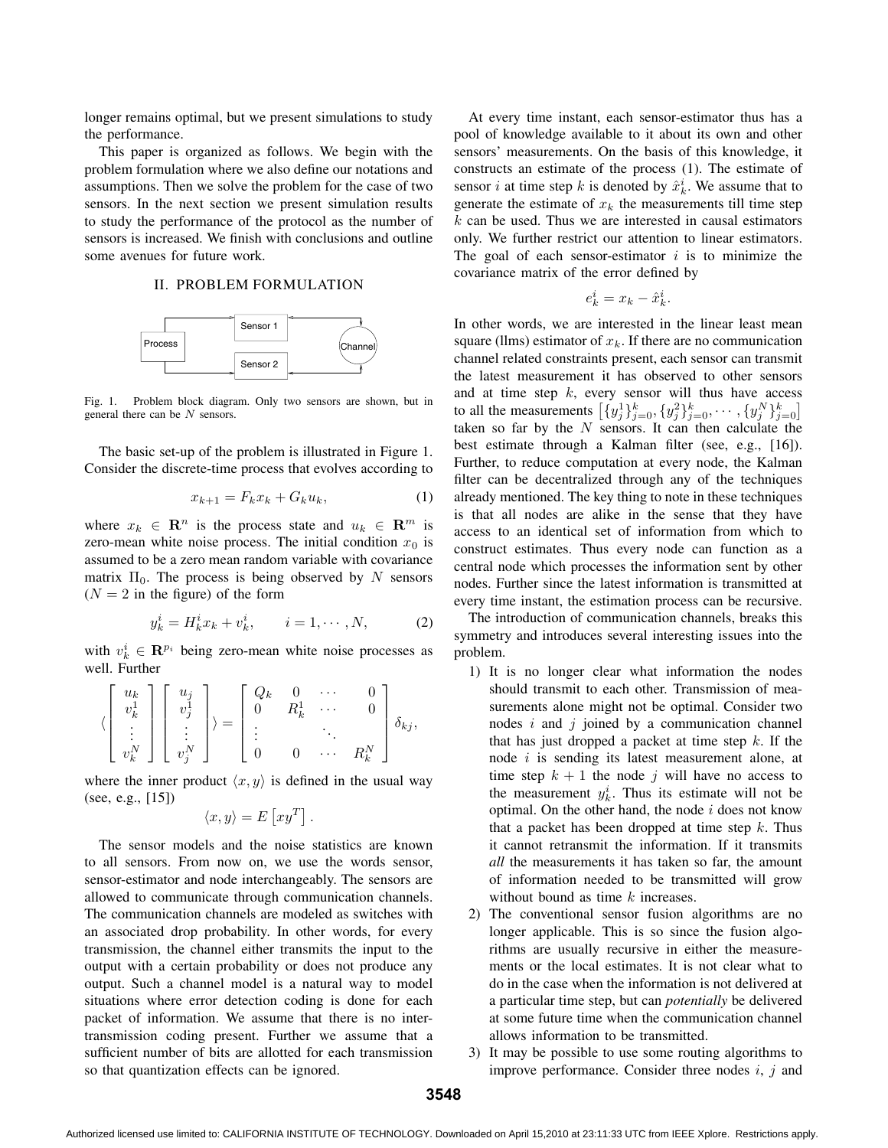longer remains optimal, but we present simulations to study the performance.

This paper is organized as follows. We begin with the problem formulation where we also define our notations and assumptions. Then we solve the problem for the case of two sensors. In the next section we present simulation results to study the performance of the protocol as the number of sensors is increased. We finish with conclusions and outline some avenues for future work.

# II. PROBLEM FORMULATION



Fig. 1. Problem block diagram. Only two sensors are shown, but in general there can be N sensors.

The basic set-up of the problem is illustrated in Figure 1. Consider the discrete-time process that evolves according to

$$
x_{k+1} = F_k x_k + G_k u_k, \tag{1}
$$

where  $x_k \in \mathbb{R}^n$  is the process state and  $u_k \in \mathbb{R}^m$  is zero-mean white noise process. The initial condition  $x_0$  is assumed to be a zero mean random variable with covariance matrix  $\Pi_0$ . The process is being observed by N sensors  $(N = 2$  in the figure) of the form

$$
y_k^i = H_k^i x_k + v_k^i, \qquad i = 1, \cdots, N,\tag{2}
$$

with  $v_k^i \in \mathbb{R}^{p_i}$  being zero-mean white noise processes as well. Further

$$
\langle \left[\begin{array}{c} u_k \\ v_k^1 \\ \vdots \\ v_k^N \end{array}\right] \left[\begin{array}{c} u_j \\ v_j^1 \\ \vdots \\ v_j^N \end{array}\right] \rangle = \left[\begin{array}{cccc} Q_k & 0 & \cdots & 0 \\ 0 & R_k^1 & \cdots & 0 \\ \vdots & & \ddots & \\ 0 & 0 & \cdots & R_k^N \end{array}\right] \delta_{kj},
$$

where the inner product  $\langle x, y \rangle$  is defined in the usual way (see, e.g., [15])

$$
\langle x, y \rangle = E[xy^T].
$$

The sensor models and the noise statistics are known to all sensors. From now on, we use the words sensor, sensor-estimator and node interchangeably. The sensors are allowed to communicate through communication channels. The communication channels are modeled as switches with an associated drop probability. In other words, for every transmission, the channel either transmits the input to the output with a certain probability or does not produce any output. Such a channel model is a natural way to model situations where error detection coding is done for each packet of information. We assume that there is no intertransmission coding present. Further we assume that a sufficient number of bits are allotted for each transmission so that quantization effects can be ignored.

At every time instant, each sensor-estimator thus has a pool of knowledge available to it about its own and other sensors' measurements. On the basis of this knowledge, it constructs an estimate of the process (1). The estimate of sensor *i* at time step *k* is denoted by  $\hat{x}_k^i$ . We assume that to generate the estimate of  $x_k$  the measurements till time step  $k$  can be used. Thus we are interested in causal estimators only. We further restrict our attention to linear estimators. The goal of each sensor-estimator  $i$  is to minimize the covariance matrix of the error defined by

$$
e_k^i = x_k - \hat{x}_k^i.
$$

In other words, we are interested in the linear least mean square (llms) estimator of  $x_k$ . If there are no communication channel related constraints present, each sensor can transmit the latest measurement it has observed to other sensors and at time step  $k$ , every sensor will thus have access to all the measurements  $\left[\{y_j^1\}_{j=0}^k, \{y_j^2\}_{j=0}^k, \cdots, \{y_j^N\}_{j=0}^k\right]$ taken so far by the  $N$  sensors. It can then calculate the best estimate through a Kalman filter (see, e.g., [16]). Further, to reduce computation at every node, the Kalman filter can be decentralized through any of the techniques already mentioned. The key thing to note in these techniques is that all nodes are alike in the sense that they have access to an identical set of information from which to construct estimates. Thus every node can function as a central node which processes the information sent by other nodes. Further since the latest information is transmitted at every time instant, the estimation process can be recursive.

The introduction of communication channels, breaks this symmetry and introduces several interesting issues into the problem.

- 1) It is no longer clear what information the nodes should transmit to each other. Transmission of measurements alone might not be optimal. Consider two nodes  $i$  and  $j$  joined by a communication channel that has just dropped a packet at time step  $k$ . If the node  $i$  is sending its latest measurement alone, at time step  $k + 1$  the node j will have no access to the measurement  $y_k^i$ . Thus its estimate will not be optimal. On the other hand, the node  $i$  does not know that a packet has been dropped at time step  $k$ . Thus it cannot retransmit the information. If it transmits *all* the measurements it has taken so far, the amount of information needed to be transmitted will grow without bound as time  $k$  increases.
- 2) The conventional sensor fusion algorithms are no longer applicable. This is so since the fusion algorithms are usually recursive in either the measurements or the local estimates. It is not clear what to do in the case when the information is not delivered at a particular time step, but can *potentially* be delivered at some future time when the communication channel allows information to be transmitted.
- 3) It may be possible to use some routing algorithms to improve performance. Consider three nodes  $i, j$  and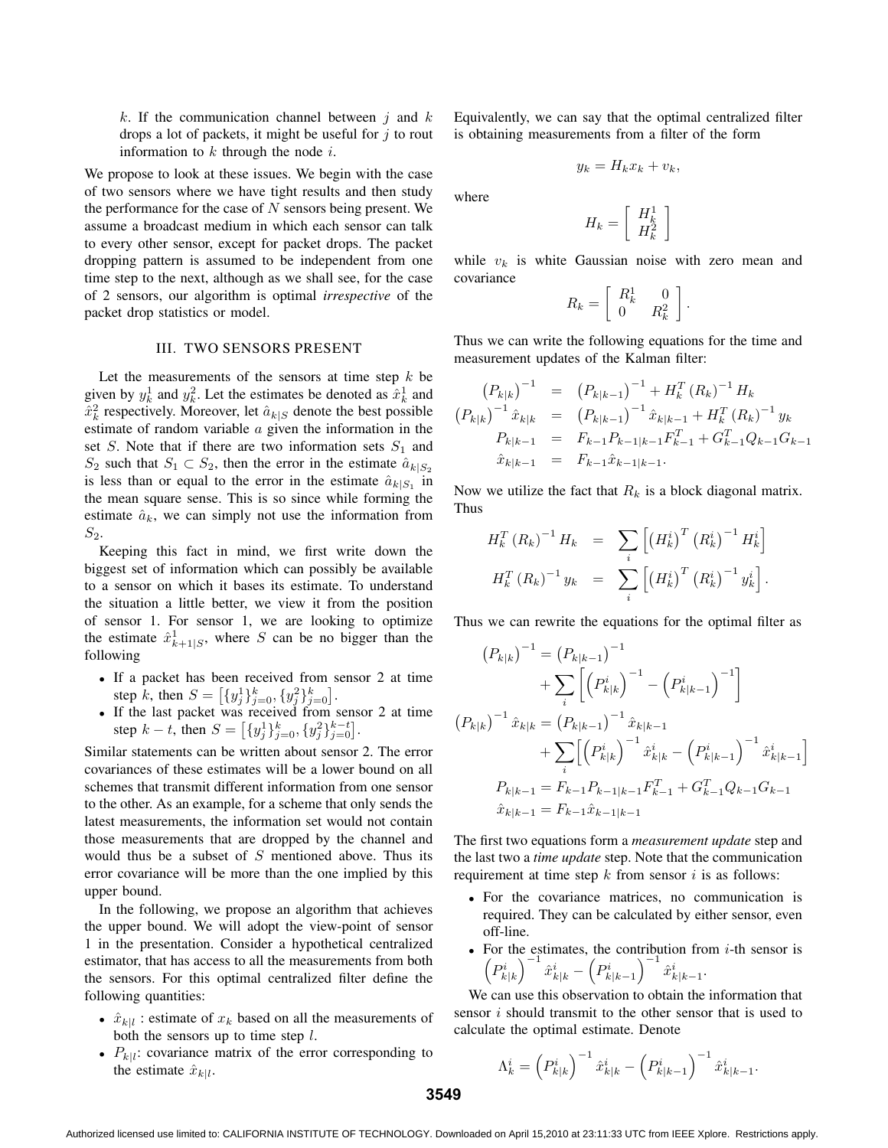k. If the communication channel between  $j$  and  $k$ drops a lot of packets, it might be useful for  $j$  to rout information to  $k$  through the node  $i$ .

We propose to look at these issues. We begin with the case of two sensors where we have tight results and then study the performance for the case of  $N$  sensors being present. We assume a broadcast medium in which each sensor can talk to every other sensor, except for packet drops. The packet dropping pattern is assumed to be independent from one time step to the next, although as we shall see, for the case of 2 sensors, our algorithm is optimal *irrespective* of the packet drop statistics or model.

#### III. TWO SENSORS PRESENT

Let the measurements of the sensors at time step  $k$  be given by  $y_k^1$  and  $y_k^2$ . Let the estimates be denoted as  $\hat{x}_k^1$  and  $\hat{x}_k^2$  respectively. Moreover, let  $\hat{a}_{k|S}$  denote the best possible estimate of random variable a given the information in the set S. Note that if there are two information sets  $S_1$  and  $S_2$  such that  $S_1 \subset S_2$ , then the error in the estimate  $\hat{a}_{k|S_2}$ is less than or equal to the error in the estimate  $\hat{a}_{k|S_1}$  in the mean square sense. This is so since while forming the estimate  $\hat{a}_k$ , we can simply not use the information from  $S_2$ .

Keeping this fact in mind, we first write down the biggest set of information which can possibly be available to a sensor on which it bases its estimate. To understand the situation a little better, we view it from the position of sensor 1. For sensor 1, we are looking to optimize the estimate  $\hat{x}_{k+1|S}^1$ , where S can be no bigger than the following

- If a packet has been received from sensor 2 at time step k, then  $S = \left[\{y_j^1\}_{j=0}^k, \{y_j^2\}_{j=0}^k\right]$ .
- If the last packet was received from sensor 2 at time step  $k - t$ , then  $S = \left[\{y_j^1\}_{j=0}^k, \{y_j^2\}_{j=0}^{k-t}\right]$ .

Similar statements can be written about sensor 2. The error covariances of these estimates will be a lower bound on all schemes that transmit different information from one sensor to the other. As an example, for a scheme that only sends the latest measurements, the information set would not contain those measurements that are dropped by the channel and would thus be a subset of  $S$  mentioned above. Thus its error covariance will be more than the one implied by this upper bound.

In the following, we propose an algorithm that achieves the upper bound. We will adopt the view-point of sensor 1 in the presentation. Consider a hypothetical centralized estimator, that has access to all the measurements from both the sensors. For this optimal centralized filter define the following quantities:

- $\hat{x}_{k|l}$  : estimate of  $x_k$  based on all the measurements of both the sensors up to time step  $l$ .
- $P_{kl}$ : covariance matrix of the error corresponding to the estimate  $\hat{x}_{k|l}$ .

Equivalently, we can say that the optimal centralized filter is obtaining measurements from a filter of the form

$$
y_k = H_k x_k + v_k,
$$

where

$$
H_k = \left[ \begin{array}{c} H_k^1 \\ H_k^2 \end{array} \right]
$$

while  $v_k$  is white Gaussian noise with zero mean and covariance

$$
R_k = \left[ \begin{array}{cc} R_k^1 & 0 \\ 0 & R_k^2 \end{array} \right]
$$

.

Thus we can write the following equations for the time and measurement updates of the Kalman filter:

$$
(P_{k|k})^{-1} = (P_{k|k-1})^{-1} + H_k^T (R_k)^{-1} H_k
$$
  
\n
$$
(P_{k|k})^{-1} \hat{x}_{k|k} = (P_{k|k-1})^{-1} \hat{x}_{k|k-1} + H_k^T (R_k)^{-1} y_k
$$
  
\n
$$
P_{k|k-1} = F_{k-1} P_{k-1|k-1} F_{k-1}^T + G_{k-1}^T Q_{k-1} G_{k-1}
$$
  
\n
$$
\hat{x}_{k|k-1} = F_{k-1} \hat{x}_{k-1|k-1}.
$$

Now we utilize the fact that  $R_k$  is a block diagonal matrix. Thus

$$
H_k^T (R_k)^{-1} H_k = \sum_i \left[ \left( H_k^i \right)^T \left( R_k^i \right)^{-1} H_k^i \right]
$$
  

$$
H_k^T (R_k)^{-1} y_k = \sum_i \left[ \left( H_k^i \right)^T \left( R_k^i \right)^{-1} y_k^i \right].
$$

Thus we can rewrite the equations for the optimal filter as

$$
(P_{k|k})^{-1} = (P_{k|k-1})^{-1}
$$
  
+  $\sum_{i} \left[ \left( P_{k|k}^{i} \right)^{-1} - \left( P_{k|k-1}^{i} \right)^{-1} \right]$   

$$
(P_{k|k})^{-1} \hat{x}_{k|k} = (P_{k|k-1})^{-1} \hat{x}_{k|k-1}
$$
  
+  $\sum_{i} \left[ \left( P_{k|k}^{i} \right)^{-1} \hat{x}_{k|k}^{i} - \left( P_{k|k-1}^{i} \right)^{-1} \hat{x}_{k|k-1}^{i} \right]$   
 $P_{k|k-1} = F_{k-1} P_{k-1|k-1} F_{k-1}^{T} + G_{k-1}^{T} Q_{k-1} G_{k-1}$   
 $\hat{x}_{k|k-1} = F_{k-1} \hat{x}_{k-1|k-1}$ 

The first two equations form a *measurement update* step and the last two a *time update* step. Note that the communication requirement at time step  $k$  from sensor  $i$  is as follows:

- For the covariance matrices, no communication is required. They can be calculated by either sensor, even off-line.
- For the estimates, the contribution from  $i$ -th sensor is  $\left(P_{k|k}^i\right)^{-1} \hat{x}_{k|k}^i - \left(P_{k|k-1}^i\right)^{-1} \hat{x}_{k|k-1}^i.$

We can use this observation to obtain the information that sensor *i* should transmit to the other sensor that is used to calculate the optimal estimate. Denote

$$
\Lambda_k^i = \left(P_{k|k}^i\right)^{-1} \hat{x}_{k|k}^i - \left(P_{k|k-1}^i\right)^{-1} \hat{x}_{k|k-1}^i.
$$

Authorized licensed use limited to: CALIFORNIA INSTITUTE OF TECHNOLOGY. Downloaded on April 15,2010 at 23:11:33 UTC from IEEE Xplore. Restrictions apply.

**3549**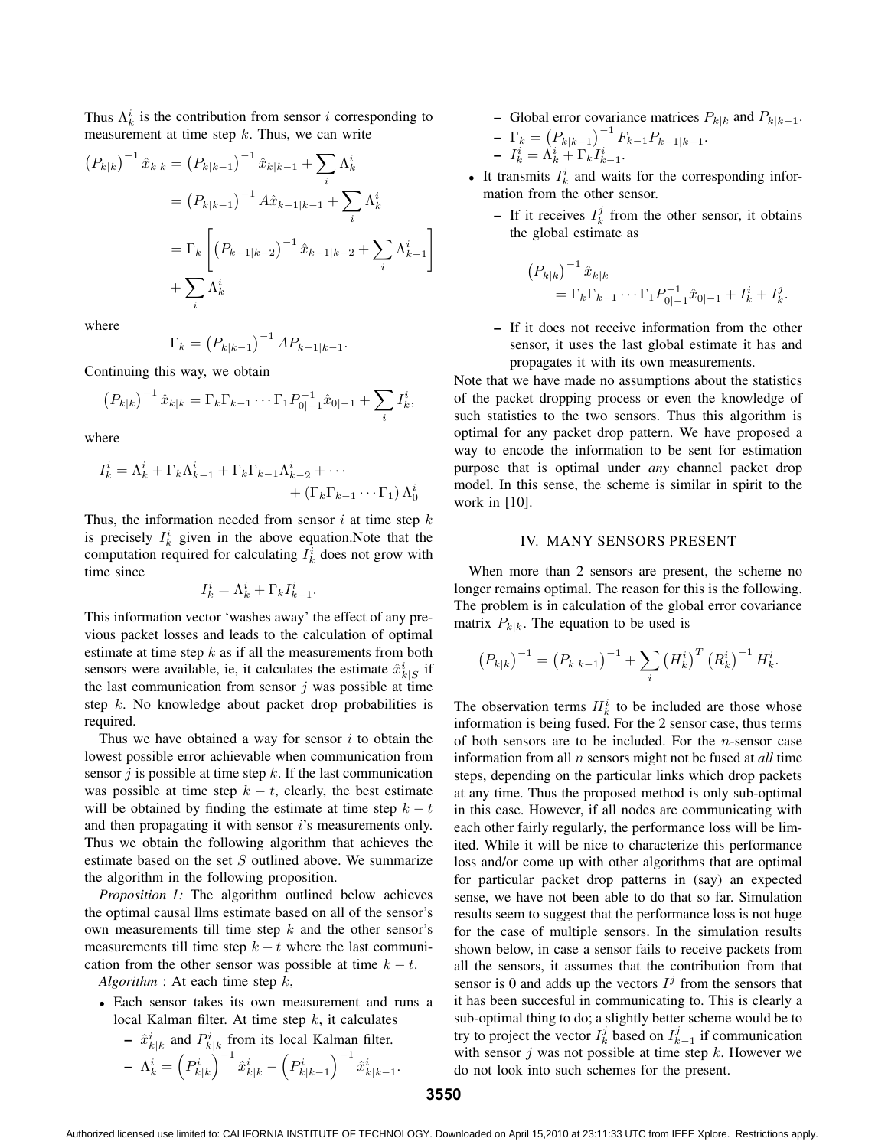Thus  $\Lambda_k^i$  is the contribution from sensor *i* corresponding to measurement at time step  $k$ . Thus, we can write

$$
(P_{k|k})^{-1} \hat{x}_{k|k} = (P_{k|k-1})^{-1} \hat{x}_{k|k-1} + \sum_{i} \Lambda_k^i
$$
  
=  $(P_{k|k-1})^{-1} A \hat{x}_{k-1|k-1} + \sum_{i} \Lambda_k^i$   
=  $\Gamma_k \left[ (P_{k-1|k-2})^{-1} \hat{x}_{k-1|k-2} + \sum_{i} \Lambda_{k-1}^i \right]$   
+  $\sum_{i} \Lambda_k^i$ 

where

$$
\Gamma_k = (P_{k|k-1})^{-1} A P_{k-1|k-1}.
$$

Continuing this way, we obtain

$$
(P_{k|k})^{-1}\hat{x}_{k|k} = \Gamma_k \Gamma_{k-1} \cdots \Gamma_1 P_{0|-1}^{-1}\hat{x}_{0|-1} + \sum_i I_k^i,
$$

where

$$
I_k^i = \Lambda_k^i + \Gamma_k \Lambda_{k-1}^i + \Gamma_k \Gamma_{k-1} \Lambda_{k-2}^i + \cdots + (\Gamma_k \Gamma_{k-1} \cdots \Gamma_1) \Lambda_0^i
$$

Thus, the information needed from sensor  $i$  at time step  $k$ is precisely  $I_k^i$  given in the above equation. Note that the computation required for calculating  $I_k^i$  does not grow with time since

$$
I_k^i = \Lambda_k^i + \Gamma_k I_{k-1}^i.
$$

This information vector 'washes away' the effect of any previous packet losses and leads to the calculation of optimal estimate at time step  $k$  as if all the measurements from both sensors were available, ie, it calculates the estimate  $\hat{x}_{k|S}^i$  if the last communication from sensor  $j$  was possible at time step k. No knowledge about packet drop probabilities is required.

Thus we have obtained a way for sensor  $i$  to obtain the lowest possible error achievable when communication from sensor  $j$  is possible at time step  $k$ . If the last communication was possible at time step  $k - t$ , clearly, the best estimate will be obtained by finding the estimate at time step  $k - t$ and then propagating it with sensor i's measurements only. Thus we obtain the following algorithm that achieves the estimate based on the set S outlined above. We summarize the algorithm in the following proposition.

*Proposition 1:* The algorithm outlined below achieves the optimal causal llms estimate based on all of the sensor's own measurements till time step  $k$  and the other sensor's measurements till time step  $k - t$  where the last communication from the other sensor was possible at time  $k - t$ .

*Algorithm* : At each time step k,

• Each sensor takes its own measurement and runs a local Kalman filter. At time step  $k$ , it calculates

- 
$$
\hat{x}_{k|k}^i
$$
 and  $P_{k|k}^i$  from its local Kalman filter.

$$
- \Lambda_k^i = \left( P_{k|k}^i \right)^{-1} \hat{x}_{k|k}^i - \left( P_{k|k-1}^i \right)^{-1} \hat{x}_{k|k-1}^i.
$$

**–** Global error covariance matrices  $P_{k|k}$  and  $P_{k|k-1}$ .

$$
- \Gamma_k = (P_{k|k-1})^{-1} F_{k-1} P_{k-1|k-1}.
$$
  

$$
- I_k^i = \Lambda_k^i + \Gamma_k I_{k-1}^i.
$$

- It transmits  $I_k^i$  and waits for the corresponding information from the other sensor.
	- **–** If it receives  $I_k^j$  from the other sensor, it obtains the global estimate as

$$
(P_{k|k})^{-1} \hat{x}_{k|k}
$$
  
=  $\Gamma_k \Gamma_{k-1} \cdots \Gamma_1 P_{0|-1}^{-1} \hat{x}_{0|-1} + I_k^i + I_k^j$ .

**–** If it does not receive information from the other sensor, it uses the last global estimate it has and propagates it with its own measurements.

Note that we have made no assumptions about the statistics of the packet dropping process or even the knowledge of such statistics to the two sensors. Thus this algorithm is optimal for any packet drop pattern. We have proposed a way to encode the information to be sent for estimation purpose that is optimal under *any* channel packet drop model. In this sense, the scheme is similar in spirit to the work in [10].

# IV. MANY SENSORS PRESENT

When more than 2 sensors are present, the scheme no longer remains optimal. The reason for this is the following. The problem is in calculation of the global error covariance matrix  $P_{k|k}$ . The equation to be used is

$$
\left(P_{k|k}\right)^{-1} = \left(P_{k|k-1}\right)^{-1} + \sum_{i} \left(H_k^i\right)^T \left(R_k^i\right)^{-1} H_k^i.
$$

The observation terms  $H_k^i$  to be included are those whose information is being fused. For the 2 sensor case, thus terms of both sensors are to be included. For the  $n$ -sensor case information from all n sensors might not be fused at *all* time steps, depending on the particular links which drop packets at any time. Thus the proposed method is only sub-optimal in this case. However, if all nodes are communicating with each other fairly regularly, the performance loss will be limited. While it will be nice to characterize this performance loss and/or come up with other algorithms that are optimal for particular packet drop patterns in (say) an expected sense, we have not been able to do that so far. Simulation results seem to suggest that the performance loss is not huge for the case of multiple sensors. In the simulation results shown below, in case a sensor fails to receive packets from all the sensors, it assumes that the contribution from that sensor is 0 and adds up the vectors  $I^j$  from the sensors that it has been succesful in communicating to. This is clearly a sub-optimal thing to do; a slightly better scheme would be to try to project the vector  $I_k^j$  based on  $I_{k-1}^j$  if communication with sensor  $j$  was not possible at time step  $k$ . However we do not look into such schemes for the present.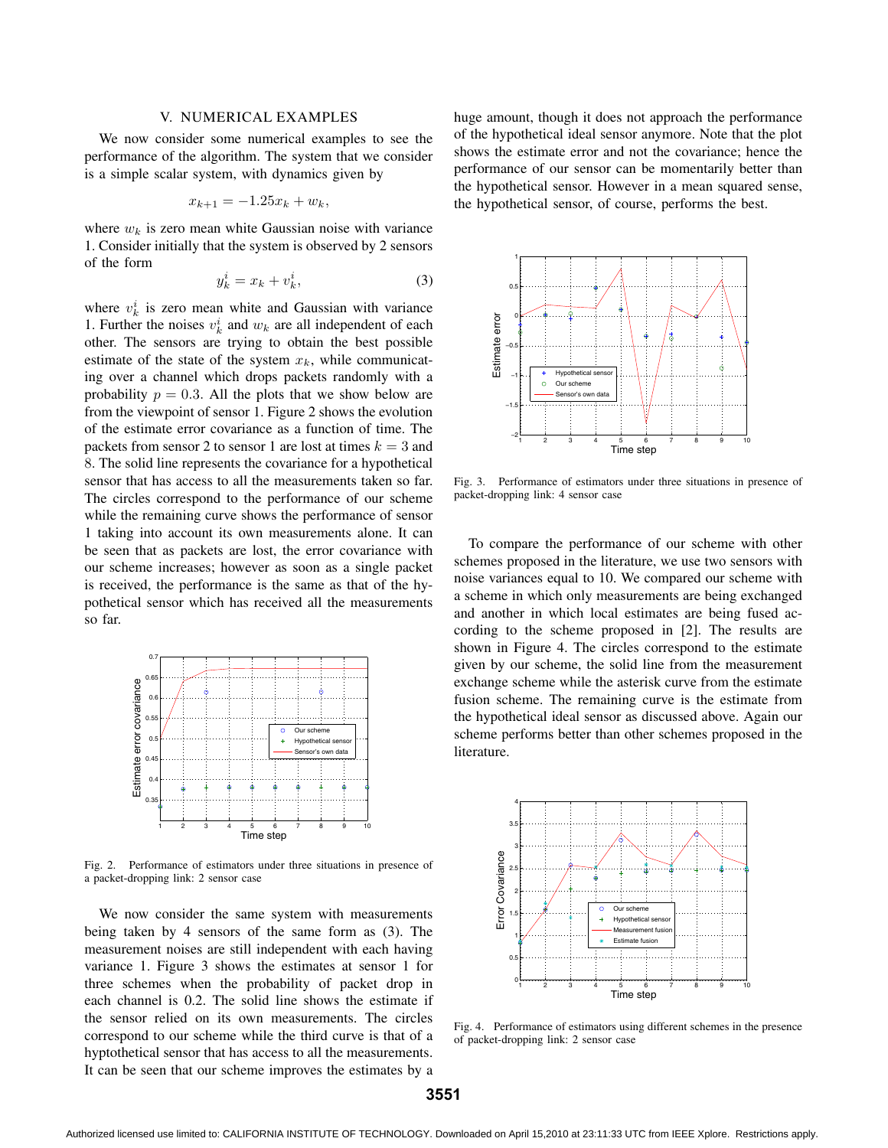#### V. NUMERICAL EXAMPLES

We now consider some numerical examples to see the performance of the algorithm. The system that we consider is a simple scalar system, with dynamics given by

$$
x_{k+1} = -1.25x_k + w_k,
$$

where  $w_k$  is zero mean white Gaussian noise with variance 1. Consider initially that the system is observed by 2 sensors of the form

$$
y_k^i = x_k + v_k^i,\tag{3}
$$

where  $v_k^i$  is zero mean white and Gaussian with variance 1. Further the noises  $v_k^i$  and  $w_k$  are all independent of each other. The sensors are trying to obtain the best possible estimate of the state of the system  $x_k$ , while communicating over a channel which drops packets randomly with a probability  $p = 0.3$ . All the plots that we show below are from the viewpoint of sensor 1. Figure 2 shows the evolution of the estimate error covariance as a function of time. The packets from sensor 2 to sensor 1 are lost at times  $k = 3$  and 8. The solid line represents the covariance for a hypothetical sensor that has access to all the measurements taken so far. The circles correspond to the performance of our scheme while the remaining curve shows the performance of sensor 1 taking into account its own measurements alone. It can be seen that as packets are lost, the error covariance with our scheme increases; however as soon as a single packet is received, the performance is the same as that of the hypothetical sensor which has received all the measurements so far.



Fig. 2. Performance of estimators under three situations in presence of a packet-dropping link: 2 sensor case

We now consider the same system with measurements being taken by 4 sensors of the same form as (3). The measurement noises are still independent with each having variance 1. Figure 3 shows the estimates at sensor 1 for three schemes when the probability of packet drop in each channel is 0.2. The solid line shows the estimate if the sensor relied on its own measurements. The circles correspond to our scheme while the third curve is that of a hyptothetical sensor that has access to all the measurements. It can be seen that our scheme improves the estimates by a

huge amount, though it does not approach the performance of the hypothetical ideal sensor anymore. Note that the plot shows the estimate error and not the covariance; hence the performance of our sensor can be momentarily better than the hypothetical sensor. However in a mean squared sense, the hypothetical sensor, of course, performs the best.



Fig. 3. Performance of estimators under three situations in presence of packet-dropping link: 4 sensor case

To compare the performance of our scheme with other schemes proposed in the literature, we use two sensors with noise variances equal to 10. We compared our scheme with a scheme in which only measurements are being exchanged and another in which local estimates are being fused according to the scheme proposed in [2]. The results are shown in Figure 4. The circles correspond to the estimate given by our scheme, the solid line from the measurement exchange scheme while the asterisk curve from the estimate fusion scheme. The remaining curve is the estimate from the hypothetical ideal sensor as discussed above. Again our scheme performs better than other schemes proposed in the literature.



Fig. 4. Performance of estimators using different schemes in the presence of packet-dropping link: 2 sensor case

**3551**